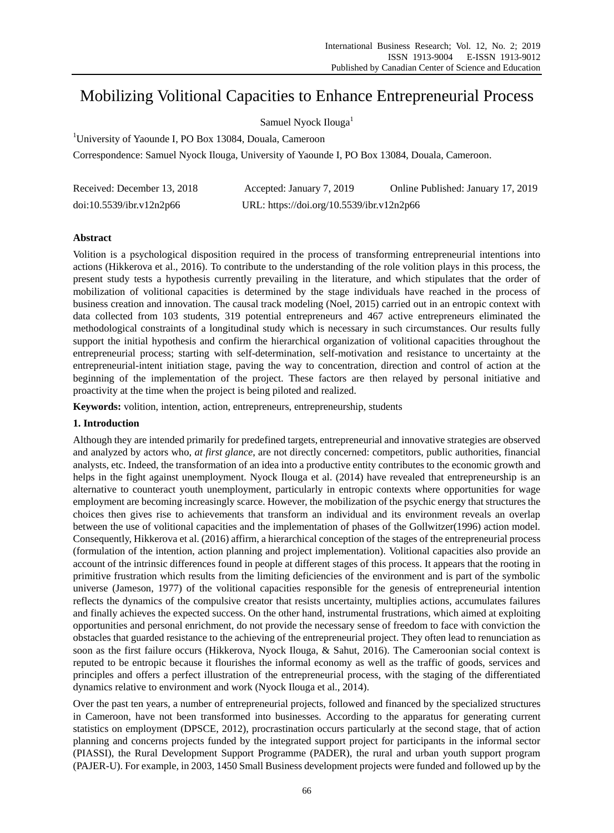# Mobilizing Volitional Capacities to Enhance Entrepreneurial Process

Samuel Nyock Ilouga<sup>1</sup>

<sup>1</sup>University of Yaounde I, PO Box 13084, Douala, Cameroon

Correspondence: Samuel Nyock Ilouga, University of Yaounde I, PO Box 13084, Douala, Cameroon.

| Received: December 13, 2018 | Accepted: January 7, 2019                 | Online Published: January 17, 2019 |
|-----------------------------|-------------------------------------------|------------------------------------|
| doi:10.5539/ibr.v12n2p66    | URL: https://doi.org/10.5539/ibr.v12n2p66 |                                    |

# **Abstract**

Volition is a psychological disposition required in the process of transforming entrepreneurial intentions into actions (Hikkerova et al., 2016). To contribute to the understanding of the role volition plays in this process, the present study tests a hypothesis currently prevailing in the literature, and which stipulates that the order of mobilization of volitional capacities is determined by the stage individuals have reached in the process of business creation and innovation. The causal track modeling (Noel, 2015) carried out in an entropic context with data collected from 103 students, 319 potential entrepreneurs and 467 active entrepreneurs eliminated the methodological constraints of a longitudinal study which is necessary in such circumstances. Our results fully support the initial hypothesis and confirm the hierarchical organization of volitional capacities throughout the entrepreneurial process; starting with self-determination, self-motivation and resistance to uncertainty at the entrepreneurial-intent initiation stage, paving the way to concentration, direction and control of action at the beginning of the implementation of the project. These factors are then relayed by personal initiative and proactivity at the time when the project is being piloted and realized.

**Keywords:** volition, intention, action, entrepreneurs, entrepreneurship, students

# **1. Introduction**

Although they are intended primarily for predefined targets, entrepreneurial and innovative strategies are observed and analyzed by actors who, *at first glance*, are not directly concerned: competitors, public authorities, financial analysts, etc. Indeed, the transformation of an idea into a productive entity contributes to the economic growth and helps in the fight against unemployment. Nyock Ilouga et al. (2014) have revealed that entrepreneurship is an alternative to counteract youth unemployment, particularly in entropic contexts where opportunities for wage employment are becoming increasingly scarce. However, the mobilization of the psychic energy that structures the choices then gives rise to achievements that transform an individual and its environment reveals an overlap between the use of volitional capacities and the implementation of phases of the Gollwitzer(1996) action model. Consequently, Hikkerova et al. (2016) affirm, a hierarchical conception of the stages of the entrepreneurial process (formulation of the intention, action planning and project implementation). Volitional capacities also provide an account of the intrinsic differences found in people at different stages of this process. It appears that the rooting in primitive frustration which results from the limiting deficiencies of the environment and is part of the symbolic universe (Jameson, 1977) of the volitional capacities responsible for the genesis of entrepreneurial intention reflects the dynamics of the compulsive creator that resists uncertainty, multiplies actions, accumulates failures and finally achieves the expected success. On the other hand, instrumental frustrations, which aimed at exploiting opportunities and personal enrichment, do not provide the necessary sense of freedom to face with conviction the obstacles that guarded resistance to the achieving of the entrepreneurial project. They often lead to renunciation as soon as the first failure occurs (Hikkerova, Nyock Ilouga, & Sahut, 2016). The Cameroonian social context is reputed to be entropic because it flourishes the informal economy as well as the traffic of goods, services and principles and offers a perfect illustration of the entrepreneurial process, with the staging of the differentiated dynamics relative to environment and work (Nyock Ilouga et al., 2014).

Over the past ten years, a number of entrepreneurial projects, followed and financed by the specialized structures in Cameroon, have not been transformed into businesses. According to the apparatus for generating current statistics on employment (DPSCE, 2012), procrastination occurs particularly at the second stage, that of action planning and concerns projects funded by the integrated support project for participants in the informal sector (PIASSI), the Rural Development Support Programme (PADER), the rural and urban youth support program (PAJER-U). For example, in 2003, 1450 Small Business development projects were funded and followed up by the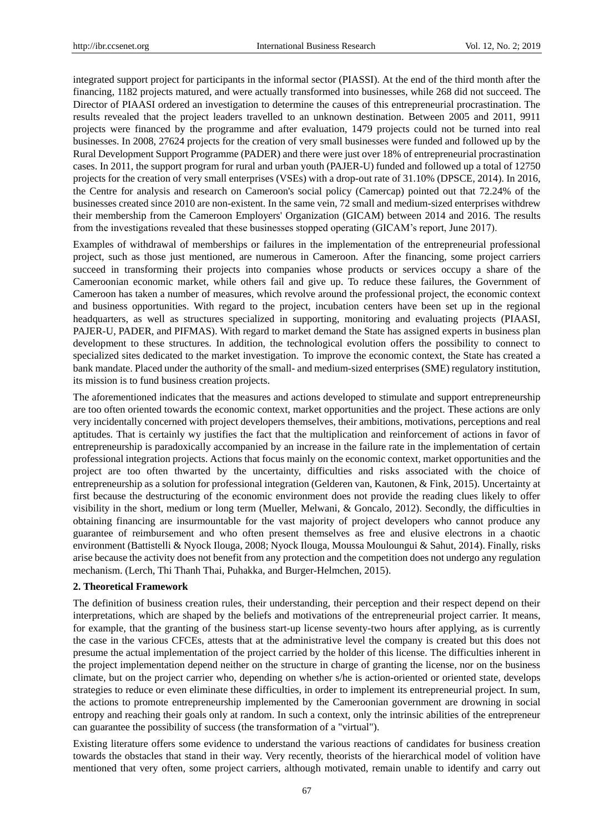integrated support project for participants in the informal sector (PIASSI). At the end of the third month after the financing, 1182 projects matured, and were actually transformed into businesses, while 268 did not succeed. The Director of PIAASI ordered an investigation to determine the causes of this entrepreneurial procrastination. The results revealed that the project leaders travelled to an unknown destination. Between 2005 and 2011, 9911 projects were financed by the programme and after evaluation, 1479 projects could not be turned into real businesses. In 2008, 27624 projects for the creation of very small businesses were funded and followed up by the Rural Development Support Programme (PADER) and there were just over 18% of entrepreneurial procrastination cases. In 2011, the support program for rural and urban youth (PAJER-U) funded and followed up a total of 12750 projects for the creation of very small enterprises (VSEs) with a drop-out rate of 31.10% (DPSCE, 2014). In 2016, the Centre for analysis and research on Cameroon's social policy (Camercap) pointed out that 72.24% of the businesses created since 2010 are non-existent. In the same vein, 72 small and medium-sized enterprises withdrew their membership from the Cameroon Employers' Organization (GICAM) between 2014 and 2016. The results from the investigations revealed that these businesses stopped operating (GICAM's report, June 2017).

Examples of withdrawal of memberships or failures in the implementation of the entrepreneurial professional project, such as those just mentioned, are numerous in Cameroon. After the financing, some project carriers succeed in transforming their projects into companies whose products or services occupy a share of the Cameroonian economic market, while others fail and give up. To reduce these failures, the Government of Cameroon has taken a number of measures, which revolve around the professional project, the economic context and business opportunities. With regard to the project, incubation centers have been set up in the regional headquarters, as well as structures specialized in supporting, monitoring and evaluating projects (PIAASI, PAJER-U, PADER, and PIFMAS). With regard to market demand the State has assigned experts in business plan development to these structures. In addition, the technological evolution offers the possibility to connect to specialized sites dedicated to the market investigation. To improve the economic context, the State has created a bank mandate. Placed under the authority of the small- and medium-sized enterprises (SME) regulatory institution, its mission is to fund business creation projects.

The aforementioned indicates that the measures and actions developed to stimulate and support entrepreneurship are too often oriented towards the economic context, market opportunities and the project. These actions are only very incidentally concerned with project developers themselves, their ambitions, motivations, perceptions and real aptitudes. That is certainly wy justifies the fact that the multiplication and reinforcement of actions in favor of entrepreneurship is paradoxically accompanied by an increase in the failure rate in the implementation of certain professional integration projects. Actions that focus mainly on the economic context, market opportunities and the project are too often thwarted by the uncertainty, difficulties and risks associated with the choice of entrepreneurship as a solution for professional integration (Gelderen van, Kautonen, & Fink, 2015). Uncertainty at first because the destructuring of the economic environment does not provide the reading clues likely to offer visibility in the short, medium or long term (Mueller, Melwani, & Goncalo, 2012). Secondly, the difficulties in obtaining financing are insurmountable for the vast majority of project developers who cannot produce any guarantee of reimbursement and who often present themselves as free and elusive electrons in a chaotic environment (Battistelli & Nyock Ilouga, 2008; Nyock Ilouga, Moussa Mouloungui & Sahut, 2014). Finally, risks arise because the activity does not benefit from any protection and the competition does not undergo any regulation mechanism. (Lerch, Thi Thanh Thai, Puhakka, and Burger-Helmchen, 2015).

#### **2. Theoretical Framework**

The definition of business creation rules, their understanding, their perception and their respect depend on their interpretations, which are shaped by the beliefs and motivations of the entrepreneurial project carrier. It means, for example, that the granting of the business start-up license seventy-two hours after applying, as is currently the case in the various CFCEs, attests that at the administrative level the company is created but this does not presume the actual implementation of the project carried by the holder of this license. The difficulties inherent in the project implementation depend neither on the structure in charge of granting the license, nor on the business climate, but on the project carrier who, depending on whether s/he is action-oriented or oriented state, develops strategies to reduce or even eliminate these difficulties, in order to implement its entrepreneurial project. In sum, the actions to promote entrepreneurship implemented by the Cameroonian government are drowning in social entropy and reaching their goals only at random. In such a context, only the intrinsic abilities of the entrepreneur can guarantee the possibility of success (the transformation of a "virtual").

Existing literature offers some evidence to understand the various reactions of candidates for business creation towards the obstacles that stand in their way. Very recently, theorists of the hierarchical model of volition have mentioned that very often, some project carriers, although motivated, remain unable to identify and carry out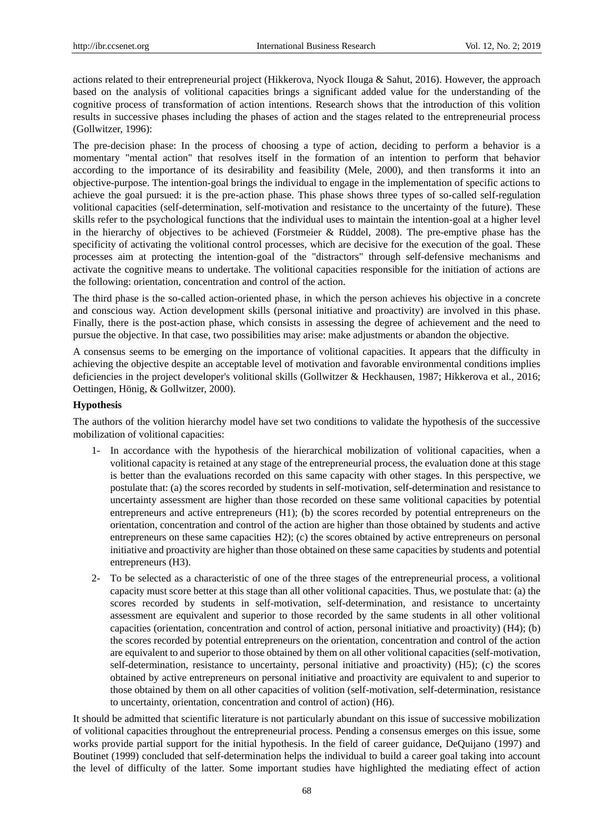actions related to their entrepreneurial project (Hikkerova, Nyock Ilouga & Sahut, 2016). However, the approach based on the analysis of volitional capacities brings a significant added value for the understanding of the cognitive process of transformation of action intentions. Research shows that the introduction of this volition results in successive phases including the phases of action and the stages related to the entrepreneurial process (Gollwitzer, 1996):

The pre-decision phase: In the process of choosing a type of action, deciding to perform a behavior is a momentary "mental action" that resolves itself in the formation of an intention to perform that behavior according to the importance of its desirability and feasibility (Mele, 2000), and then transforms it into an objective-purpose. The intention-goal brings the individual to engage in the implementation of specific actions to achieve the goal pursued: it is the pre-action phase. This phase shows three types of so-called self-regulation volitional capacities (self-determination, self-motivation and resistance to the uncertainty of the future). These skills refer to the psychological functions that the individual uses to maintain the intention-goal at a higher level in the hierarchy of objectives to be achieved (Forstmeier & Rüddel, 2008). The pre-emptive phase has the specificity of activating the volitional control processes, which are decisive for the execution of the goal. These processes aim at protecting the intention-goal of the "distractors" through self-defensive mechanisms and activate the cognitive means to undertake. The volitional capacities responsible for the initiation of actions are the following: orientation, concentration and control of the action.

The third phase is the so-called action-oriented phase, in which the person achieves his objective in a concrete and conscious way. Action development skills (personal initiative and proactivity) are involved in this phase. Finally, there is the post-action phase, which consists in assessing the degree of achievement and the need to pursue the objective. In that case, two possibilities may arise: make adjustments or abandon the objective.

A consensus seems to be emerging on the importance of volitional capacities. It appears that the difficulty in achieving the objective despite an acceptable level of motivation and favorable environmental conditions implies deficiencies in the project developer's volitional skills (Gollwitzer & Heckhausen, 1987; Hikkerova et al., 2016; Oettingen, Hönig, & Gollwitzer, 2000).

# **Hypothesis**

The authors of the volition hierarchy model have set two conditions to validate the hypothesis of the successive mobilization of volitional capacities:

- 1- In accordance with the hypothesis of the hierarchical mobilization of volitional capacities, when a volitional capacity is retained at any stage of the entrepreneurial process, the evaluation done at this stage is better than the evaluations recorded on this same capacity with other stages. In this perspective, we postulate that: (a) the scores recorded by students in self-motivation, self-determination and resistance to uncertainty assessment are higher than those recorded on these same volitional capacities by potential entrepreneurs and active entrepreneurs (H1); (b) the scores recorded by potential entrepreneurs on the orientation, concentration and control of the action are higher than those obtained by students and active entrepreneurs on these same capacities H2); (c) the scores obtained by active entrepreneurs on personal initiative and proactivity are higher than those obtained on these same capacities by students and potential entrepreneurs (H3).
- 2- To be selected as a characteristic of one of the three stages of the entrepreneurial process, a volitional capacity must score better at this stage than all other volitional capacities. Thus, we postulate that: (a) the scores recorded by students in self-motivation, self-determination, and resistance to uncertainty assessment are equivalent and superior to those recorded by the same students in all other volitional capacities (orientation, concentration and control of action, personal initiative and proactivity) (H4); (b) the scores recorded by potential entrepreneurs on the orientation, concentration and control of the action are equivalent to and superior to those obtained by them on all other volitional capacities (self-motivation, self-determination, resistance to uncertainty, personal initiative and proactivity) (H5); (c) the scores obtained by active entrepreneurs on personal initiative and proactivity are equivalent to and superior to those obtained by them on all other capacities of volition (self-motivation, self-determination, resistance to uncertainty, orientation, concentration and control of action) (H6).

It should be admitted that scientific literature is not particularly abundant on this issue of successive mobilization of volitional capacities throughout the entrepreneurial process. Pending a consensus emerges on this issue, some works provide partial support for the initial hypothesis. In the field of career guidance, DeQuijano (1997) and Boutinet (1999) concluded that self-determination helps the individual to build a career goal taking into account the level of difficulty of the latter. Some important studies have highlighted the mediating effect of action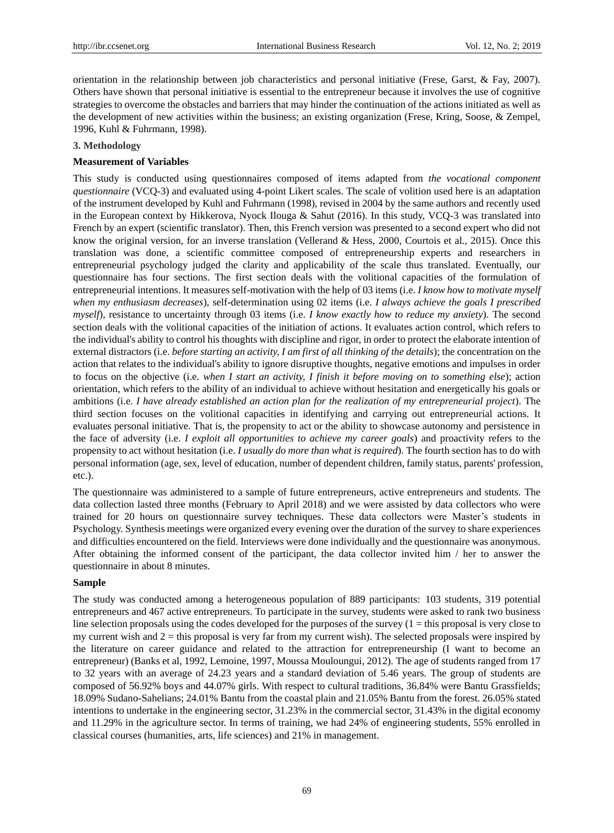orientation in the relationship between job characteristics and personal initiative (Frese, Garst, & Fay, 2007). Others have shown that personal initiative is essential to the entrepreneur because it involves the use of cognitive strategies to overcome the obstacles and barriers that may hinder the continuation of the actions initiated as well as the development of new activities within the business; an existing organization (Frese, Kring, Soose, & Zempel, 1996, Kuhl & Fuhrmann, 1998).

# **3. Methodology**

# **Measurement of Variables**

This study is conducted using questionnaires composed of items adapted from *the vocational component questionnaire* (VCQ-3) and evaluated using 4-point Likert scales. The scale of volition used here is an adaptation of the instrument developed by Kuhl and Fuhrmann (1998), revised in 2004 by the same authors and recently used in the European context by Hikkerova, Nyock Ilouga & Sahut (2016). In this study, VCQ-3 was translated into French by an expert (scientific translator). Then, this French version was presented to a second expert who did not know the original version, for an inverse translation (Vellerand & Hess, 2000, Courtois et al., 2015). Once this translation was done, a scientific committee composed of entrepreneurship experts and researchers in entrepreneurial psychology judged the clarity and applicability of the scale thus translated. Eventually, our questionnaire has four sections. The first section deals with the volitional capacities of the formulation of entrepreneurial intentions. It measures self-motivation with the help of 03 items (i.e. *I know how to motivate myself when my enthusiasm decreases*), self-determination using 02 items (i.e. *I always achieve the goals I prescribed myself*)*,* resistance to uncertainty through 03 items (i.e. *I know exactly how to reduce my anxiety*). The second section deals with the volitional capacities of the initiation of actions. It evaluates action control, which refers to the individual's ability to control his thoughts with discipline and rigor, in order to protect the elaborate intention of external distractors (i.e. *before starting an activity, I am first of all thinking of the details*); the concentration on the action that relates to the individual's ability to ignore disruptive thoughts, negative emotions and impulses in order to focus on the objective (i.e. *when I start an activity, I finish it before moving on to something else*); action orientation, which refers to the ability of an individual to achieve without hesitation and energetically his goals or ambitions (i.e. *I have already established an action plan for the realization of my entrepreneurial project*). The third section focuses on the volitional capacities in identifying and carrying out entrepreneurial actions. It evaluates personal initiative. That is, the propensity to act or the ability to showcase autonomy and persistence in the face of adversity (i.e. *I exploit all opportunities to achieve my career goals*) and proactivity refers to the propensity to act without hesitation (i.e. *I usually do more than what is required*). The fourth section has to do with personal information (age, sex, level of education, number of dependent children, family status, parents' profession, etc.).

The questionnaire was administered to a sample of future entrepreneurs, active entrepreneurs and students. The data collection lasted three months (February to April 2018) and we were assisted by data collectors who were trained for 20 hours on questionnaire survey techniques. These data collectors were Master's students in Psychology. Synthesis meetings were organized every evening over the duration of the survey to share experiences and difficulties encountered on the field. Interviews were done individually and the questionnaire was anonymous. After obtaining the informed consent of the participant, the data collector invited him / her to answer the questionnaire in about 8 minutes.

# **Sample**

The study was conducted among a heterogeneous population of 889 participants: 103 students, 319 potential entrepreneurs and 467 active entrepreneurs. To participate in the survey, students were asked to rank two business line selection proposals using the codes developed for the purposes of the survey  $(1 = this$  proposal is very close to my current wish and 2 = this proposal is very far from my current wish)*.* The selected proposals were inspired by the literature on career guidance and related to the attraction for entrepreneurship (I want to become an entrepreneur) (Banks et al, 1992, Lemoine, 1997, Moussa Mouloungui, 2012)*.* The age of students ranged from 17 to 32 years with an average of 24.23 years and a standard deviation of 5.46 years. The group of students are composed of 56.92% boys and 44.07% girls. With respect to cultural traditions, 36.84% were Bantu Grassfields; 18.09% Sudano-Sahelians; 24.01% Bantu from the coastal plain and 21.05% Bantu from the forest. 26.05% stated intentions to undertake in the engineering sector, 31.23% in the commercial sector, 31.43% in the digital economy and 11.29% in the agriculture sector. In terms of training, we had 24% of engineering students, 55% enrolled in classical courses (humanities, arts, life sciences) and 21% in management.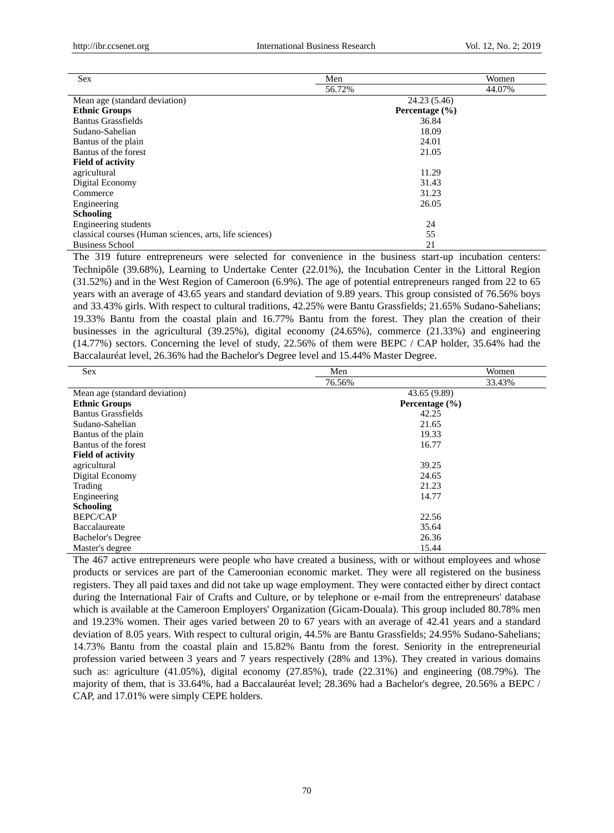| <b>Sex</b>                                              | Men    | Women              |
|---------------------------------------------------------|--------|--------------------|
|                                                         | 56.72% | 44.07%             |
| Mean age (standard deviation)                           |        | 24.23 (5.46)       |
| <b>Ethnic Groups</b>                                    |        | Percentage $(\% )$ |
| <b>Bantus Grassfields</b>                               |        | 36.84              |
| Sudano-Sahelian                                         |        | 18.09              |
| Bantus of the plain                                     |        | 24.01              |
| Bantus of the forest                                    |        | 21.05              |
| <b>Field of activity</b>                                |        |                    |
| agricultural                                            |        | 11.29              |
| Digital Economy                                         |        | 31.43              |
| Commerce                                                |        | 31.23              |
| Engineering                                             | 26.05  |                    |
| <b>Schooling</b>                                        |        |                    |
| Engineering students                                    |        | 24                 |
| classical courses (Human sciences, arts, life sciences) |        | 55                 |
| <b>Business School</b>                                  |        | 21                 |

The 319 future entrepreneurs were selected for convenience in the business start-up incubation centers: Technipôle (39.68%), Learning to Undertake Center (22.01%), the Incubation Center in the Littoral Region (31.52%) and in the West Region of Cameroon (6.9%). The age of potential entrepreneurs ranged from 22 to 65 years with an average of 43.65 years and standard deviation of 9.89 years. This group consisted of 76.56% boys and 33.43% girls. With respect to cultural traditions, 42.25% were Bantu Grassfields; 21.65% Sudano-Sahelians; 19.33% Bantu from the coastal plain and 16.77% Bantu from the forest. They plan the creation of their businesses in the agricultural (39.25%), digital economy (24.65%), commerce (21.33%) and engineering (14.77%) sectors. Concerning the level of study, 22.56% of them were BEPC / CAP holder, 35.64% had the Baccalauréat level, 26.36% had the Bachelor's Degree level and 15.44% Master Degree.

| <b>Sex</b>                    | Men                | Women  |  |
|-------------------------------|--------------------|--------|--|
|                               | 76.56%             | 33.43% |  |
| Mean age (standard deviation) | 43.65 (9.89)       |        |  |
| <b>Ethnic Groups</b>          | Percentage $(\% )$ |        |  |
| <b>Bantus Grassfields</b>     | 42.25              |        |  |
| Sudano-Sahelian               | 21.65              |        |  |
| Bantus of the plain           | 19.33              |        |  |
| Bantus of the forest          | 16.77              |        |  |
| <b>Field of activity</b>      |                    |        |  |
| agricultural                  | 39.25              |        |  |
| Digital Economy               | 24.65              |        |  |
| Trading                       | 21.23              |        |  |
| Engineering                   | 14.77              |        |  |
| <b>Schooling</b>              |                    |        |  |
| <b>BEPC/CAP</b>               | 22.56              |        |  |
| Baccalaureate                 | 35.64              |        |  |
| <b>Bachelor's Degree</b>      | 26.36              |        |  |
| Master's degree               | 15.44              |        |  |

The 467 active entrepreneurs were people who have created a business, with or without employees and whose products or services are part of the Cameroonian economic market. They were all registered on the business registers. They all paid taxes and did not take up wage employment. They were contacted either by direct contact during the International Fair of Crafts and Culture, or by telephone or e-mail from the entrepreneurs' database which is available at the Cameroon Employers' Organization (Gicam-Douala). This group included 80.78% men and 19.23% women. Their ages varied between 20 to 67 years with an average of 42.41 years and a standard deviation of 8.05 years. With respect to cultural origin, 44.5% are Bantu Grassfields; 24.95% Sudano-Sahelians; 14.73% Bantu from the coastal plain and 15.82% Bantu from the forest. Seniority in the entrepreneurial profession varied between 3 years and 7 years respectively (28% and 13%). They created in various domains such as: agriculture (41.05%), digital economy (27.85%), trade (22.31%) and engineering (08.79%). The majority of them, that is 33.64%, had a Baccalauréat level; 28.36% had a Bachelor's degree, 20.56% a BEPC / CAP, and 17.01% were simply CEPE holders.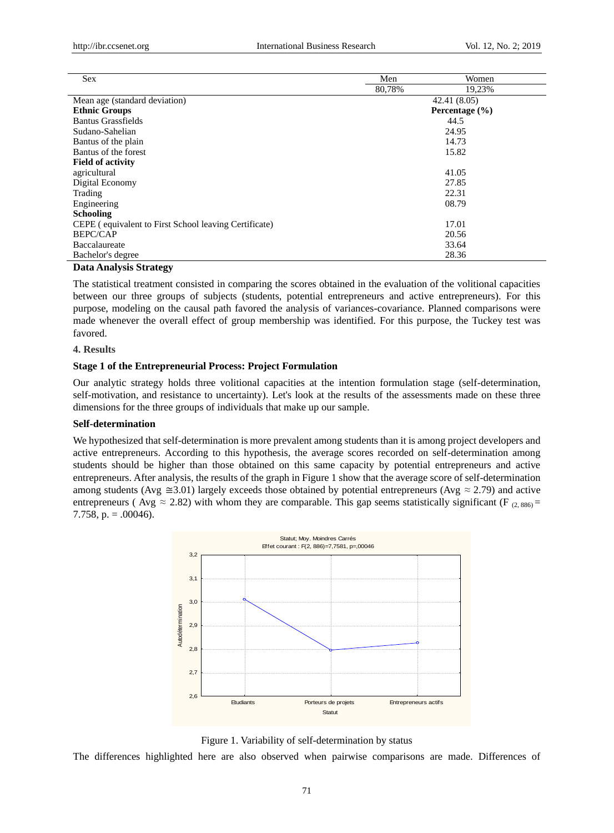| <b>Sex</b>                                            | Men                | Women  |  |
|-------------------------------------------------------|--------------------|--------|--|
|                                                       | 80.78%             | 19,23% |  |
| Mean age (standard deviation)                         | 42.41 (8.05)       |        |  |
| <b>Ethnic Groups</b>                                  | Percentage $(\% )$ |        |  |
| <b>Bantus Grassfields</b>                             | 44.5               |        |  |
| Sudano-Sahelian                                       | 24.95              |        |  |
| Bantus of the plain                                   | 14.73              |        |  |
| Bantus of the forest                                  | 15.82              |        |  |
| <b>Field of activity</b>                              |                    |        |  |
| agricultural<br>41.05                                 |                    |        |  |
| Digital Economy                                       | 27.85              |        |  |
| Trading                                               | 22.31              |        |  |
| 08.79<br>Engineering                                  |                    |        |  |
| <b>Schooling</b>                                      |                    |        |  |
| CEPE (equivalent to First School leaving Certificate) | 17.01              |        |  |
| <b>BEPC/CAP</b>                                       |                    | 20.56  |  |
| Baccalaureate                                         |                    | 33.64  |  |
| Bachelor's degree                                     |                    | 28.36  |  |

# **Data Analysis Strategy**

The statistical treatment consisted in comparing the scores obtained in the evaluation of the volitional capacities between our three groups of subjects (students, potential entrepreneurs and active entrepreneurs). For this purpose, modeling on the causal path favored the analysis of variances-covariance. Planned comparisons were made whenever the overall effect of group membership was identified. For this purpose, the Tuckey test was favored.

## **4. Results**

# **Stage 1 of the Entrepreneurial Process: Project Formulation**

Our analytic strategy holds three volitional capacities at the intention formulation stage (self-determination, self-motivation, and resistance to uncertainty). Let's look at the results of the assessments made on these three dimensions for the three groups of individuals that make up our sample.

# **Self-determination**

We hypothesized that self-determination is more prevalent among students than it is among project developers and active entrepreneurs. According to this hypothesis, the average scores recorded on self-determination among students should be higher than those obtained on this same capacity by potential entrepreneurs and active entrepreneurs. After analysis, the results of the graph in Figure 1 show that the average score of self-determination among students (Avg  $\approx$  3.01) largely exceeds those obtained by potential entrepreneurs (Avg  $\approx$  2.79) and active entrepreneurs (Avg  $\approx 2.82$ ) with whom they are comparable. This gap seems statistically significant (F  $_{(2.886)}$  = 7.758, p.  $= .00046$ ).



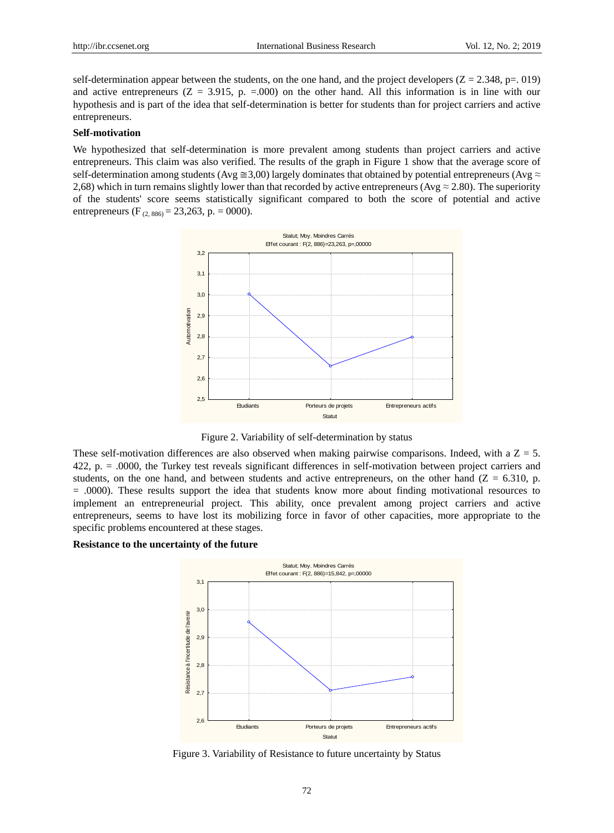self-determination appear between the students, on the one hand, and the project developers  $(Z = 2.348, p = .019)$ and active entrepreneurs ( $Z = 3.915$ , p. = 000) on the other hand. All this information is in line with our hypothesis and is part of the idea that self-determination is better for students than for project carriers and active entrepreneurs.

## **Self-motivation**

We hypothesized that self-determination is more prevalent among students than project carriers and active entrepreneurs. This claim was also verified. The results of the graph in Figure 1 show that the average score of self-determination among students (Avg  $\cong$ 3,00) largely dominates that obtained by potential entrepreneurs (Avg  $\approx$ 2,68) which in turn remains slightly lower than that recorded by active entrepreneurs (Avg  $\approx$  2.80). The superiority of the students' score seems statistically significant compared to both the score of potential and active entrepreneurs (F<sub>(2,886)</sub> = 23,263, p. = 0000).



Figure 2. Variability of self-determination by status

These self-motivation differences are also observed when making pairwise comparisons. Indeed, with a  $Z = 5$ . 422, p. = .0000, the Turkey test reveals significant differences in self-motivation between project carriers and students, on the one hand, and between students and active entrepreneurs, on the other hand  $(Z = 6.310, p$ . = .0000). These results support the idea that students know more about finding motivational resources to implement an entrepreneurial project. This ability, once prevalent among project carriers and active entrepreneurs, seems to have lost its mobilizing force in favor of other capacities, more appropriate to the specific problems encountered at these stages.

# **Resistance to the uncertainty of the future**



Figure 3. Variability of Resistance to future uncertainty by Status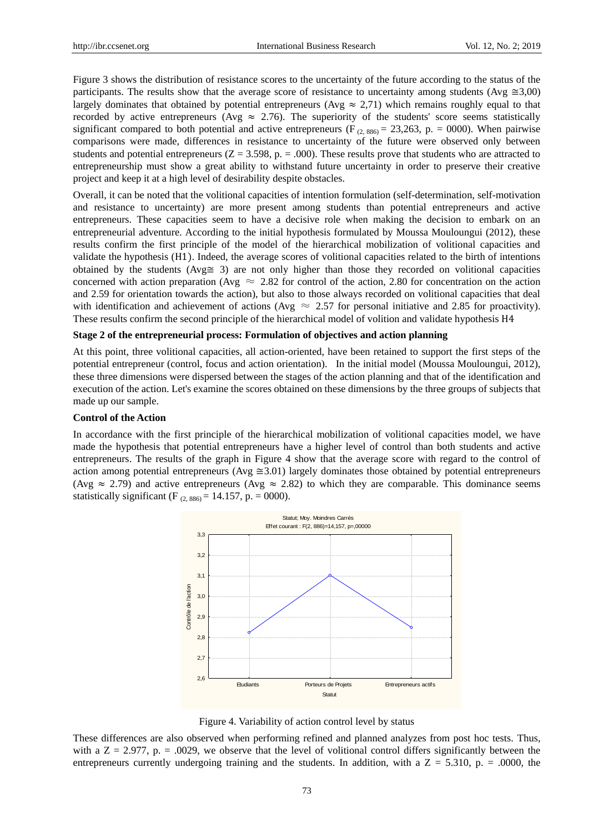Figure 3 shows the distribution of resistance scores to the uncertainty of the future according to the status of the participants. The results show that the average score of resistance to uncertainty among students (Avg  $\approx 3.00$ ) largely dominates that obtained by potential entrepreneurs ( $Avg \approx 2.71$ ) which remains roughly equal to that recorded by active entrepreneurs (Avg  $\approx$  2.76). The superiority of the students' score seems statistically significant compared to both potential and active entrepreneurs (F<sub>(2,886)</sub> = 23,263, p. = 0000). When pairwise comparisons were made, differences in resistance to uncertainty of the future were observed only between students and potential entrepreneurs ( $Z = 3.598$ , p. = .000). These results prove that students who are attracted to entrepreneurship must show a great ability to withstand future uncertainty in order to preserve their creative project and keep it at a high level of desirability despite obstacles.

Overall, it can be noted that the volitional capacities of intention formulation (self-determination, self-motivation and resistance to uncertainty) are more present among students than potential entrepreneurs and active entrepreneurs. These capacities seem to have a decisive role when making the decision to embark on an entrepreneurial adventure. According to the initial hypothesis formulated by Moussa Mouloungui (2012), these results confirm the first principle of the model of the hierarchical mobilization of volitional capacities and validate the hypothesis (H1). Indeed, the average scores of volitional capacities related to the birth of intentions obtained by the students (Avg≅ 3) are not only higher than those they recorded on volitional capacities concerned with action preparation (Avg  $\approx 2.82$  for control of the action, 2.80 for concentration on the action and 2.59 for orientation towards the action), but also to those always recorded on volitional capacities that deal with identification and achievement of actions (Avg  $\approx 2.57$  for personal initiative and 2.85 for proactivity). These results confirm the second principle of the hierarchical model of volition and validate hypothesis H4

# **Stage 2 of the entrepreneurial process: Formulation of objectives and action planning**

At this point, three volitional capacities, all action-oriented, have been retained to support the first steps of the potential entrepreneur (control, focus and action orientation). In the initial model (Moussa Mouloungui, 2012), these three dimensions were dispersed between the stages of the action planning and that of the identification and execution of the action. Let's examine the scores obtained on these dimensions by the three groups of subjects that made up our sample.

# **Control of the Action**

In accordance with the first principle of the hierarchical mobilization of volitional capacities model, we have made the hypothesis that potential entrepreneurs have a higher level of control than both students and active entrepreneurs. The results of the graph in Figure 4 show that the average score with regard to the control of action among potential entrepreneurs (Avg  $\approx 3.01$ ) largely dominates those obtained by potential entrepreneurs (Avg  $\approx$  2.79) and active entrepreneurs (Avg  $\approx$  2.82) to which they are comparable. This dominance seems statistically significant (F  $_{(2, 886)} = 14.157$ , p. = 0000).



Figure 4. Variability of action control level by status

These differences are also observed when performing refined and planned analyzes from post hoc tests. Thus, with a  $Z = 2.977$ , p. = .0029, we observe that the level of volitional control differs significantly between the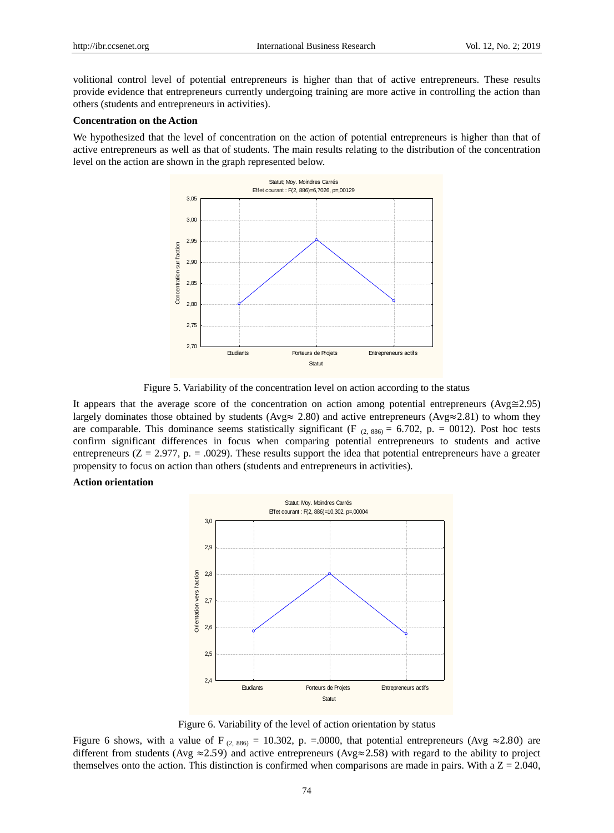volitional control level of potential entrepreneurs is higher than that of active entrepreneurs. These results provide evidence that entrepreneurs currently undergoing training are more active in controlling the action than others (students and entrepreneurs in activities).

# **Concentration on the Action**

We hypothesized that the level of concentration on the action of potential entrepreneurs is higher than that of active entrepreneurs as well as that of students. The main results relating to the distribution of the concentration level on the action are shown in the graph represented below.



Figure 5. Variability of the concentration level on action according to the status

It appears that the average score of the concentration on action among potential entrepreneurs (Avg≅2.95) largely dominates those obtained by students (Avg≈ 2.80) and active entrepreneurs (Avg≈2.81) to whom they are comparable. This dominance seems statistically significant (F  $_{(2, 886)} = 6.702$ , p. = 0012). Post hoc tests confirm significant differences in focus when comparing potential entrepreneurs to students and active entrepreneurs ( $Z = 2.977$ , p. = .0029). These results support the idea that potential entrepreneurs have a greater propensity to focus on action than others (students and entrepreneurs in activities).

## **Action orientation**



Figure 6. Variability of the level of action orientation by status

Figure 6 shows, with a value of F<sub>(2,886)</sub> = 10.302, p. = 0.000, that potential entrepreneurs (Avg  $\approx$ 2.80) are different from students (Avg  $\approx$  2.59) and active entrepreneurs (Avg $\approx$  2.58) with regard to the ability to project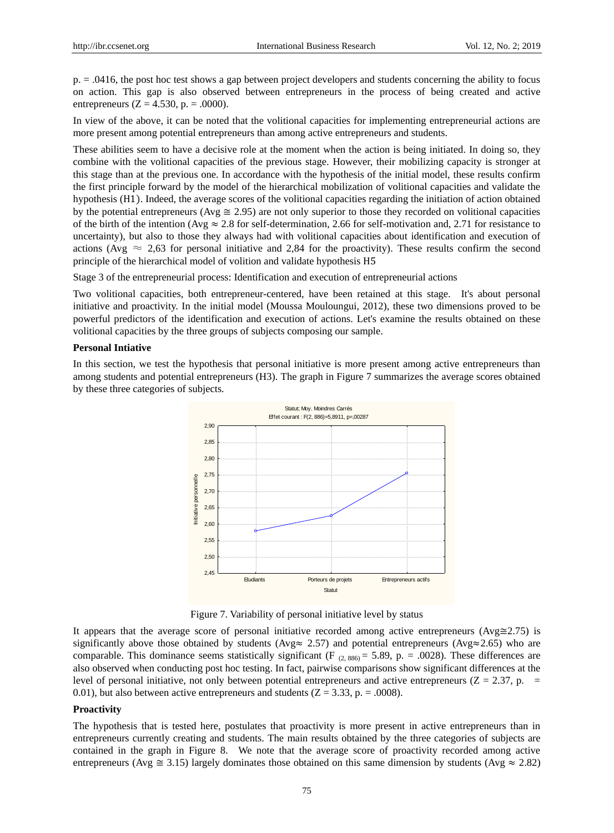p. = .0416, the post hoc test shows a gap between project developers and students concerning the ability to focus on action. This gap is also observed between entrepreneurs in the process of being created and active entrepreneurs ( $Z = 4.530$ , p. = .0000).

In view of the above, it can be noted that the volitional capacities for implementing entrepreneurial actions are more present among potential entrepreneurs than among active entrepreneurs and students.

These abilities seem to have a decisive role at the moment when the action is being initiated. In doing so, they combine with the volitional capacities of the previous stage. However, their mobilizing capacity is stronger at this stage than at the previous one. In accordance with the hypothesis of the initial model, these results confirm the first principle forward by the model of the hierarchical mobilization of volitional capacities and validate the hypothesis (H1). Indeed, the average scores of the volitional capacities regarding the initiation of action obtained by the potential entrepreneurs (Avg  $\approx$  2.95) are not only superior to those they recorded on volitional capacities of the birth of the intention (Avg  $\approx 2.8$  for self-determination, 2.66 for self-motivation and, 2.71 for resistance to uncertainty), but also to those they always had with volitional capacities about identification and execution of actions (Avg  $\approx$  2,63 for personal initiative and 2,84 for the proactivity). These results confirm the second principle of the hierarchical model of volition and validate hypothesis H5

Stage 3 of the entrepreneurial process: Identification and execution of entrepreneurial actions

Two volitional capacities, both entrepreneur-centered, have been retained at this stage. It's about personal initiative and proactivity. In the initial model (Moussa Mouloungui, 2012), these two dimensions proved to be powerful predictors of the identification and execution of actions. Let's examine the results obtained on these volitional capacities by the three groups of subjects composing our sample.

## **Personal Intiative**

In this section, we test the hypothesis that personal initiative is more present among active entrepreneurs than among students and potential entrepreneurs (H3). The graph in Figure 7 summarizes the average scores obtained by these three categories of subjects.



Figure 7. Variability of personal initiative level by status

It appears that the average score of personal initiative recorded among active entrepreneurs (Avg≅2.75) is significantly above those obtained by students (Avg≈ 2.57) and potential entrepreneurs (Avg≈2.65) who are comparable. This dominance seems statistically significant (F  $_{(2, 886)} = 5.89$ , p. = .0028). These differences are also observed when conducting post hoc testing. In fact, pairwise comparisons show significant differences at the level of personal initiative, not only between potential entrepreneurs and active entrepreneurs ( $Z = 2.37$ , p. = 0.01), but also between active entrepreneurs and students  $(Z = 3.33, p = .0008)$ .

# **Proactivity**

The hypothesis that is tested here, postulates that proactivity is more present in active entrepreneurs than in entrepreneurs currently creating and students. The main results obtained by the three categories of subjects are contained in the graph in Figure 8. We note that the average score of proactivity recorded among active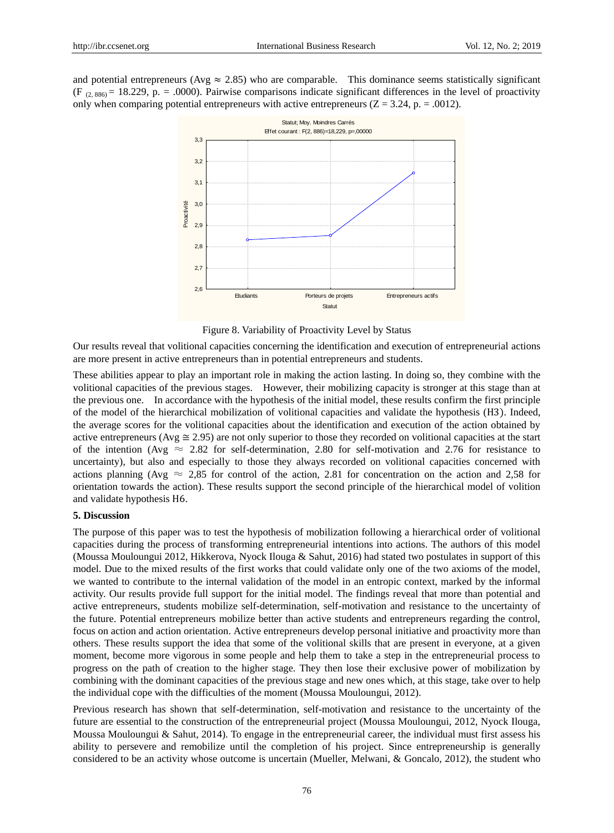and potential entrepreneurs (Avg  $\approx$  2.85) who are comparable. This dominance seems statistically significant (F<sub>c</sub>,  $(8.886) = 18.229$ , p. = .0000). Pairwise comparisons indicate significant differences in the level of proactivity only when comparing potential entrepreneurs with active entrepreneurs ( $Z = 3.24$ , p. = .0012).



Figure 8. Variability of Proactivity Level by Status

Our results reveal that volitional capacities concerning the identification and execution of entrepreneurial actions are more present in active entrepreneurs than in potential entrepreneurs and students.

These abilities appear to play an important role in making the action lasting. In doing so, they combine with the volitional capacities of the previous stages. However, their mobilizing capacity is stronger at this stage than at the previous one. In accordance with the hypothesis of the initial model, these results confirm the first principle of the model of the hierarchical mobilization of volitional capacities and validate the hypothesis (H3). Indeed, the average scores for the volitional capacities about the identification and execution of the action obtained by active entrepreneurs (Avg  $\approx$  2.95) are not only superior to those they recorded on volitional capacities at the start of the intention (Avg  $\approx 2.82$  for self-determination, 2.80 for self-motivation and 2.76 for resistance to uncertainty), but also and especially to those they always recorded on volitional capacities concerned with actions planning (Avg  $\approx$  2,85 for control of the action, 2.81 for concentration on the action and 2.58 for orientation towards the action). These results support the second principle of the hierarchical model of volition and validate hypothesis H6.

# **5. Discussion**

The purpose of this paper was to test the hypothesis of mobilization following a hierarchical order of volitional capacities during the process of transforming entrepreneurial intentions into actions. The authors of this model (Moussa Mouloungui 2012, Hikkerova, Nyock Ilouga & Sahut, 2016) had stated two postulates in support of this model. Due to the mixed results of the first works that could validate only one of the two axioms of the model, we wanted to contribute to the internal validation of the model in an entropic context, marked by the informal activity. Our results provide full support for the initial model. The findings reveal that more than potential and active entrepreneurs, students mobilize self-determination, self-motivation and resistance to the uncertainty of the future. Potential entrepreneurs mobilize better than active students and entrepreneurs regarding the control, focus on action and action orientation. Active entrepreneurs develop personal initiative and proactivity more than others. These results support the idea that some of the volitional skills that are present in everyone, at a given moment, become more vigorous in some people and help them to take a step in the entrepreneurial process to progress on the path of creation to the higher stage. They then lose their exclusive power of mobilization by combining with the dominant capacities of the previous stage and new ones which, at this stage, take over to help the individual cope with the difficulties of the moment (Moussa Mouloungui, 2012). **Example 2018**<br> **Example 2018**<br> **Considered to the diffusion of the analytics whose outcome is uncertainty (Mueller, Melwani, Melawani, Melawani, Melawani, Although Statution of the studies of the studies of the studies o** 

Previous research has shown that self-determination, self-motivation and resistance to the uncertainty of the future are essential to the construction of the entrepreneurial project (Moussa Mouloungui, 2012, Nyock Ilouga, Moussa Mouloungui & Sahut, 2014). To engage in the entrepreneurial career, the individual must first assess his ability to persevere and remobilize until the completion of his project. Since entrepreneurship is generally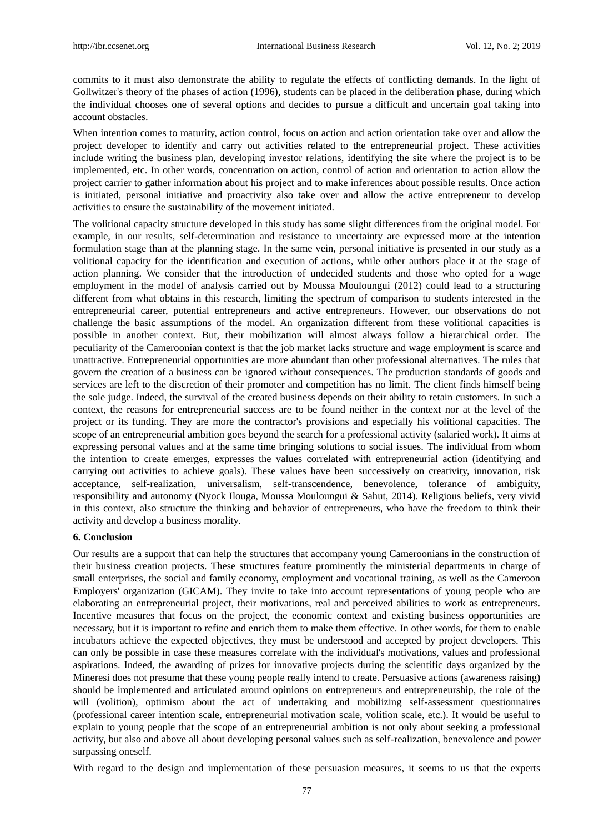commits to it must also demonstrate the ability to regulate the effects of conflicting demands. In the light of Gollwitzer's theory of the phases of action (1996), students can be placed in the deliberation phase, during which the individual chooses one of several options and decides to pursue a difficult and uncertain goal taking into account obstacles.

When intention comes to maturity, action control, focus on action and action orientation take over and allow the project developer to identify and carry out activities related to the entrepreneurial project. These activities include writing the business plan, developing investor relations, identifying the site where the project is to be implemented, etc. In other words, concentration on action, control of action and orientation to action allow the project carrier to gather information about his project and to make inferences about possible results. Once action is initiated, personal initiative and proactivity also take over and allow the active entrepreneur to develop activities to ensure the sustainability of the movement initiated.

The volitional capacity structure developed in this study has some slight differences from the original model. For example, in our results, self-determination and resistance to uncertainty are expressed more at the intention formulation stage than at the planning stage. In the same vein, personal initiative is presented in our study as a volitional capacity for the identification and execution of actions, while other authors place it at the stage of action planning. We consider that the introduction of undecided students and those who opted for a wage employment in the model of analysis carried out by Moussa Mouloungui (2012) could lead to a structuring different from what obtains in this research, limiting the spectrum of comparison to students interested in the entrepreneurial career, potential entrepreneurs and active entrepreneurs. However, our observations do not challenge the basic assumptions of the model. An organization different from these volitional capacities is possible in another context. But, their mobilization will almost always follow a hierarchical order. The peculiarity of the Cameroonian context is that the job market lacks structure and wage employment is scarce and unattractive. Entrepreneurial opportunities are more abundant than other professional alternatives. The rules that govern the creation of a business can be ignored without consequences. The production standards of goods and services are left to the discretion of their promoter and competition has no limit. The client finds himself being the sole judge. Indeed, the survival of the created business depends on their ability to retain customers. In such a context, the reasons for entrepreneurial success are to be found neither in the context nor at the level of the project or its funding. They are more the contractor's provisions and especially his volitional capacities. The scope of an entrepreneurial ambition goes beyond the search for a professional activity (salaried work). It aims at expressing personal values and at the same time bringing solutions to social issues. The individual from whom the intention to create emerges, expresses the values correlated with entrepreneurial action (identifying and carrying out activities to achieve goals). These values have been successively on creativity, innovation, risk acceptance, self-realization, universalism, self-transcendence, benevolence, tolerance of ambiguity, responsibility and autonomy (Nyock Ilouga, Moussa Mouloungui & Sahut, 2014). Religious beliefs, very vivid in this context, also structure the thinking and behavior of entrepreneurs, who have the freedom to think their activity and develop a business morality.

# **6. Conclusion**

Our results are a support that can help the structures that accompany young Cameroonians in the construction of their business creation projects. These structures feature prominently the ministerial departments in charge of small enterprises, the social and family economy, employment and vocational training, as well as the Cameroon Employers' organization (GICAM). They invite to take into account representations of young people who are elaborating an entrepreneurial project, their motivations, real and perceived abilities to work as entrepreneurs. Incentive measures that focus on the project, the economic context and existing business opportunities are necessary, but it is important to refine and enrich them to make them effective. In other words, for them to enable incubators achieve the expected objectives, they must be understood and accepted by project developers. This can only be possible in case these measures correlate with the individual's motivations, values and professional aspirations. Indeed, the awarding of prizes for innovative projects during the scientific days organized by the Mineresi does not presume that these young people really intend to create. Persuasive actions (awareness raising) should be implemented and articulated around opinions on entrepreneurs and entrepreneurship, the role of the will (volition), optimism about the act of undertaking and mobilizing self-assessment questionnaires (professional career intention scale, entrepreneurial motivation scale, volition scale, etc.). It would be useful to explain to young people that the scope of an entrepreneurial ambition is not only about seeking a professional activity, but also and above all about developing personal values such as self-realization, benevolence and power surpassing oneself.

With regard to the design and implementation of these persuasion measures, it seems to us that the experts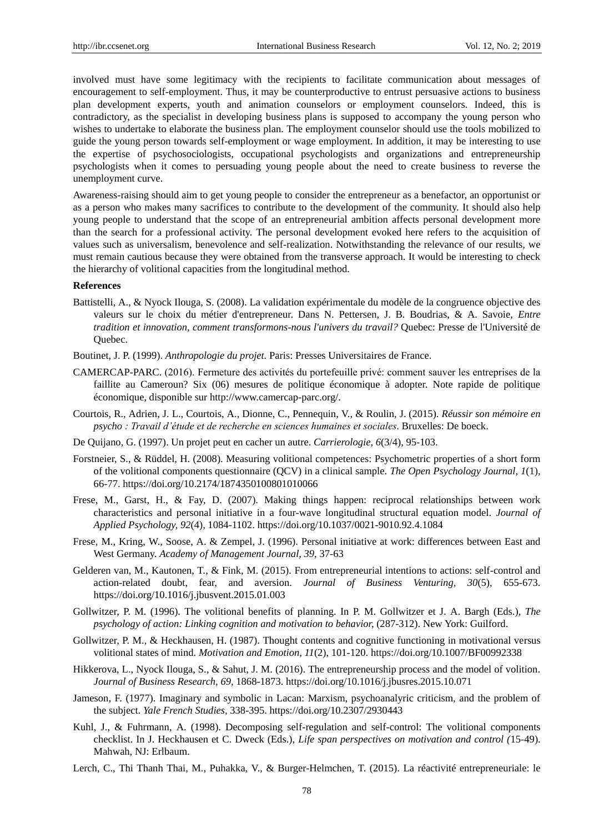involved must have some legitimacy with the recipients to facilitate communication about messages of encouragement to self-employment. Thus, it may be counterproductive to entrust persuasive actions to business plan development experts, youth and animation counselors or employment counselors. Indeed, this is contradictory, as the specialist in developing business plans is supposed to accompany the young person who wishes to undertake to elaborate the business plan. The employment counselor should use the tools mobilized to guide the young person towards self-employment or wage employment. In addition, it may be interesting to use the expertise of psychosociologists, occupational psychologists and organizations and entrepreneurship psychologists when it comes to persuading young people about the need to create business to reverse the unemployment curve.

Awareness-raising should aim to get young people to consider the entrepreneur as a benefactor, an opportunist or as a person who makes many sacrifices to contribute to the development of the community. It should also help young people to understand that the scope of an entrepreneurial ambition affects personal development more than the search for a professional activity. The personal development evoked here refers to the acquisition of values such as universalism, benevolence and self-realization. Notwithstanding the relevance of our results, we must remain cautious because they were obtained from the transverse approach. It would be interesting to check the hierarchy of volitional capacities from the longitudinal method.

## **References**

- Battistelli, A., & Nyock Ilouga, S. (2008). La validation expérimentale du modèle de la congruence objective des valeurs sur le choix du métier d'entrepreneur. Dans N. Pettersen, J. B. Boudrias, & A. Savoie, *Entre tradition et innovation, comment transformons-nous l'univers du travail?* Quebec: Presse de l'Université de Quebec.
- Boutinet, J. P. (1999). *Anthropologie du projet.* Paris: Presses Universitaires de France.
- CAMERCAP-PARC. (2016). Fermeture des activités du portefeuille privé: comment sauver les entreprises de la faillite au Cameroun? Six (06) mesures de politique économique à adopter. Note rapide de politique économique, disponible sur http://www.camercap-parc.org/.
- Courtois, R., Adrien, J. L., Courtois, A., Dionne, C., Pennequin, V., & Roulin, J. (2015). *Réussir son mémoire en psycho : Travail d'étude et de recherche en sciences humaines et sociales*. Bruxelles: De boeck.
- De Quijano, G. (1997). Un projet peut en cacher un autre. *Carrierologie, 6*(3/4), 95-103.
- Forstneier, S., & Rüddel, H. (2008). Measuring volitional competences: Psychometric properties of a short form of the volitional components questionnaire (QCV) in a clinical sample. *The Open Psychology Journal, 1*(1), 66-77. https://doi.org/10.2174/1874350100801010066
- Frese, M., Garst, H., & Fay, D. (2007). Making things happen: reciprocal relationships between work characteristics and personal initiative in a four-wave longitudinal structural equation model. *Journal of Applied Psychology, 92*(4), 1084-1102. https://doi.org/10.1037/0021-9010.92.4.1084
- Frese, M., Kring, W., Soose, A. & Zempel, J. (1996). Personal initiative at work: differences between East and West Germany. *Academy of Management Journal, 39*, 37-63
- Gelderen van, M., Kautonen, T., & Fink, M. (2015). From entrepreneurial intentions to actions: self-control and action-related doubt, fear, and aversion. *Journal of Business Venturing, 30*(5), 655-673. https://doi.org/10.1016/j.jbusvent.2015.01.003
- Gollwitzer, P. M. (1996). The volitional benefits of planning. In P. M. Gollwitzer et J. A. Bargh (Eds.), *The psychology of action: Linking cognition and motivation to behavior,* (287-312). New York: Guilford.
- Gollwitzer, P. M., & Heckhausen, H. (1987). Thought contents and cognitive functioning in motivational versus volitional states of mind. *Motivation and Emotion, 11*(2), 101-120. https://doi.org/10.1007/BF00992338
- Hikkerova, L., Nyock Ilouga, S., & Sahut, J. M. (2016). The entrepreneurship process and the model of volition. *Journal of Business Research, 69,* 1868-1873. https://doi.org/10.1016/j.jbusres.2015.10.071
- Jameson, F. (1977). Imaginary and symbolic in Lacan: Marxism, psychoanalyric criticism, and the problem of the subject. *Yale French Studies,* 338-395. https://doi.org/10.2307/2930443
- Kuhl, J., & Fuhrmann, A. (1998). Decomposing self-regulation and self-control: The volitional components checklist. In J. Heckhausen et C. Dweck (Eds.), *Life span perspectives on motivation and control (*15-49). Mahwah, NJ: Erlbaum.
- Lerch, C., Thi Thanh Thai, M., Puhakka, V., & Burger-Helmchen, T. (2015). La réactivité entrepreneuriale: le